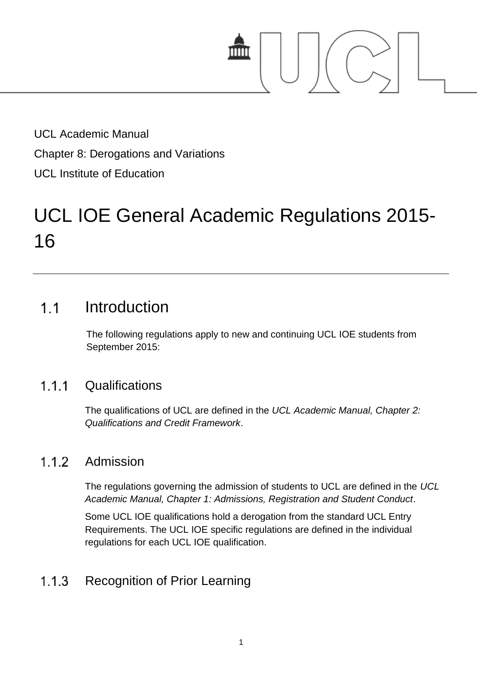

UCL Academic Manual Chapter 8: Derogations and Variations UCL Institute of Education

# UCL IOE General Academic Regulations 2015- 16

### Introduction  $1<sub>1</sub>$

The following regulations apply to new and continuing UCL IOE students from September 2015:

#### $1.1.1$ **Qualifications**

The qualifications of UCL are defined in the *UCL Academic Manual, Chapter 2: Qualifications and Credit Framework*.

#### 112 Admission

The regulations governing the admission of students to UCL are defined in the *UCL Academic Manual, Chapter 1: Admissions, Registration and Student Conduct*.

Some UCL IOE qualifications hold a derogation from the standard UCL Entry Requirements. The UCL IOE specific regulations are defined in the individual regulations for each UCL IOE qualification.

#### $1.1.3$ Recognition of Prior Learning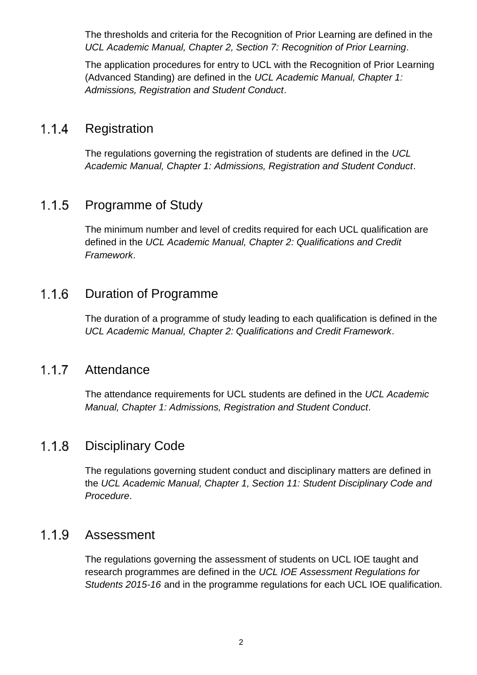The thresholds and criteria for the Recognition of Prior Learning are defined in the *UCL Academic Manual, Chapter 2, Section 7: Recognition of Prior Learning*.

The application procedures for entry to UCL with the Recognition of Prior Learning (Advanced Standing) are defined in the *UCL Academic Manual, Chapter 1: Admissions, Registration and Student Conduct*.

#### $1.1.4$ Registration

The regulations governing the registration of students are defined in the *UCL Academic Manual, Chapter 1: Admissions, Registration and Student Conduct*.

#### $1.1.5$ Programme of Study

The minimum number and level of credits required for each UCL qualification are defined in the *UCL Academic Manual, Chapter 2: Qualifications and Credit Framework*.

#### Duration of Programme  $1.1.6$

The duration of a programme of study leading to each qualification is defined in the *UCL Academic Manual, Chapter 2: Qualifications and Credit Framework*.

#### $1.1.7$ Attendance

The attendance requirements for UCL students are defined in the *UCL Academic Manual, Chapter 1: Admissions, Registration and Student Conduct*.

#### $1.1.8$ Disciplinary Code

The regulations governing student conduct and disciplinary matters are defined in the *UCL Academic Manual, Chapter 1, Section 11: Student Disciplinary Code and Procedure*.

#### 1.1.9 Assessment

The regulations governing the assessment of students on UCL IOE taught and research programmes are defined in the *UCL IOE Assessment Regulations for Students 2015-16* and in the programme regulations for each UCL IOE qualification.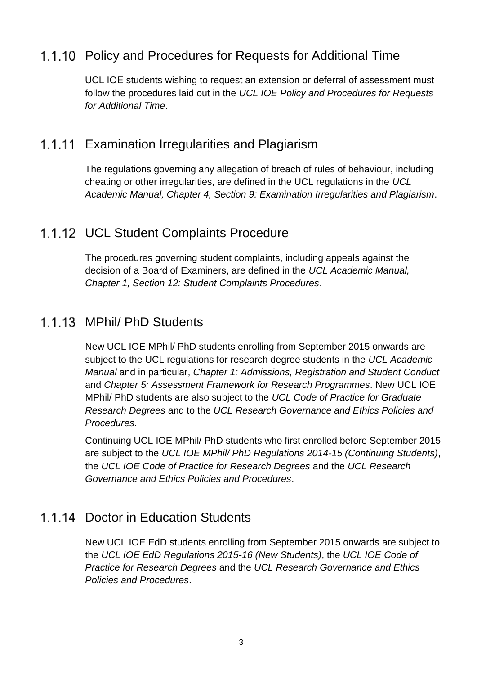### 1.1.10 Policy and Procedures for Requests for Additional Time

UCL IOE students wishing to request an extension or deferral of assessment must follow the procedures laid out in the *UCL IOE Policy and Procedures for Requests for Additional Time*.

### 1.1.11 Examination Irregularities and Plagiarism

The regulations governing any allegation of breach of rules of behaviour, including cheating or other irregularities, are defined in the UCL regulations in the *UCL Academic Manual, Chapter 4, Section 9: Examination Irregularities and Plagiarism*.

### 1.1.12 UCL Student Complaints Procedure

The procedures governing student complaints, including appeals against the decision of a Board of Examiners, are defined in the *UCL Academic Manual, Chapter 1, Section 12: Student Complaints Procedures*.

### 1 1 13 MPhil/ PhD Students

New UCL IOE MPhil/ PhD students enrolling from September 2015 onwards are subject to the UCL regulations for research degree students in the *UCL Academic Manual* and in particular, *Chapter 1: Admissions, Registration and Student Conduct* and *Chapter 5: Assessment Framework for Research Programmes*. New UCL IOE MPhil/ PhD students are also subject to the *UCL Code of Practice for Graduate Research Degrees* and to the *UCL Research Governance and Ethics Policies and Procedures*.

Continuing UCL IOE MPhil/ PhD students who first enrolled before September 2015 are subject to the *UCL IOE MPhil/ PhD Regulations 2014-15 (Continuing Students)*, the *UCL IOE Code of Practice for Research Degrees* and the *UCL Research Governance and Ethics Policies and Procedures*.

### 1.1.14 Doctor in Education Students

New UCL IOE EdD students enrolling from September 2015 onwards are subject to the *UCL IOE EdD Regulations 2015-16 (New Students)*, the *UCL IOE Code of Practice for Research Degrees* and the *UCL Research Governance and Ethics Policies and Procedures*.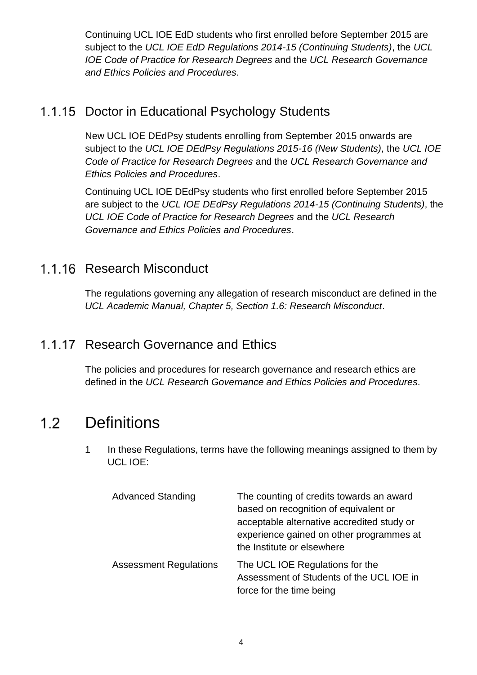Continuing UCL IOE EdD students who first enrolled before September 2015 are subject to the *UCL IOE EdD Regulations 2014-15 (Continuing Students)*, the *UCL IOE Code of Practice for Research Degrees* and the *UCL Research Governance and Ethics Policies and Procedures*.

## 1.1.15 Doctor in Educational Psychology Students

New UCL IOE DEdPsy students enrolling from September 2015 onwards are subject to the *UCL IOE DEdPsy Regulations 2015-16 (New Students)*, the *UCL IOE Code of Practice for Research Degrees* and the *UCL Research Governance and Ethics Policies and Procedures*.

Continuing UCL IOE DEdPsy students who first enrolled before September 2015 are subject to the *UCL IOE DEdPsy Regulations 2014-15 (Continuing Students)*, the *UCL IOE Code of Practice for Research Degrees* and the *UCL Research Governance and Ethics Policies and Procedures*.

## 1.1.16 Research Misconduct

The regulations governing any allegation of research misconduct are defined in the *UCL Academic Manual, Chapter 5, Section 1.6: Research Misconduct*.

# 1.1.17 Research Governance and Ethics

The policies and procedures for research governance and research ethics are defined in the *UCL Research Governance and Ethics Policies and Procedures*.

### **Definitions**  $1.2<sub>1</sub>$

1 In these Regulations, terms have the following meanings assigned to them by UCL IOE:

| <b>Advanced Standing</b>      | The counting of credits towards an award<br>based on recognition of equivalent or<br>acceptable alternative accredited study or<br>experience gained on other programmes at<br>the Institute or elsewhere |
|-------------------------------|-----------------------------------------------------------------------------------------------------------------------------------------------------------------------------------------------------------|
| <b>Assessment Regulations</b> | The UCL IOE Regulations for the<br>Assessment of Students of the UCL IOE in<br>force for the time being                                                                                                   |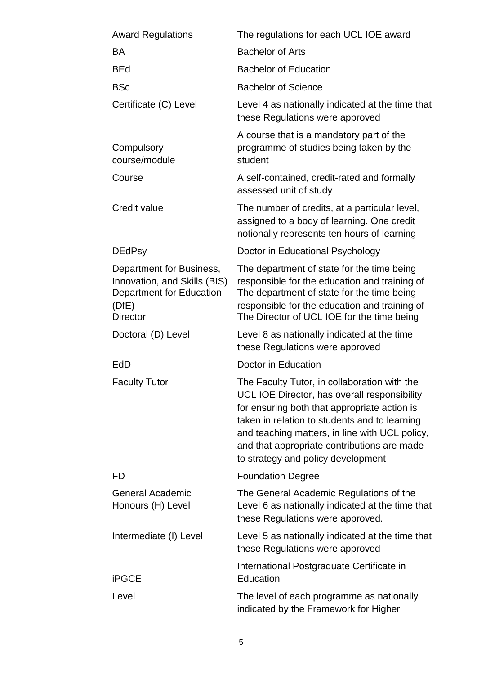| <b>Award Regulations</b>                                                                                         | The regulations for each UCL IOE award                                                                                                                                                                                                                                                                                               |
|------------------------------------------------------------------------------------------------------------------|--------------------------------------------------------------------------------------------------------------------------------------------------------------------------------------------------------------------------------------------------------------------------------------------------------------------------------------|
| <b>BA</b>                                                                                                        | <b>Bachelor of Arts</b>                                                                                                                                                                                                                                                                                                              |
| <b>BEd</b>                                                                                                       | <b>Bachelor of Education</b>                                                                                                                                                                                                                                                                                                         |
| <b>BSc</b>                                                                                                       | <b>Bachelor of Science</b>                                                                                                                                                                                                                                                                                                           |
| Certificate (C) Level                                                                                            | Level 4 as nationally indicated at the time that<br>these Regulations were approved                                                                                                                                                                                                                                                  |
| Compulsory<br>course/module                                                                                      | A course that is a mandatory part of the<br>programme of studies being taken by the<br>student                                                                                                                                                                                                                                       |
| Course                                                                                                           | A self-contained, credit-rated and formally<br>assessed unit of study                                                                                                                                                                                                                                                                |
| Credit value                                                                                                     | The number of credits, at a particular level,<br>assigned to a body of learning. One credit<br>notionally represents ten hours of learning                                                                                                                                                                                           |
| <b>DEdPsy</b>                                                                                                    | Doctor in Educational Psychology                                                                                                                                                                                                                                                                                                     |
| Department for Business,<br>Innovation, and Skills (BIS)<br>Department for Education<br>(DfE)<br><b>Director</b> | The department of state for the time being<br>responsible for the education and training of<br>The department of state for the time being<br>responsible for the education and training of<br>The Director of UCL IOE for the time being                                                                                             |
| Doctoral (D) Level                                                                                               | Level 8 as nationally indicated at the time<br>these Regulations were approved                                                                                                                                                                                                                                                       |
| EdD                                                                                                              | Doctor in Education                                                                                                                                                                                                                                                                                                                  |
| <b>Faculty Tutor</b>                                                                                             | The Faculty Tutor, in collaboration with the<br>UCL IOE Director, has overall responsibility<br>for ensuring both that appropriate action is<br>taken in relation to students and to learning<br>and teaching matters, in line with UCL policy,<br>and that appropriate contributions are made<br>to strategy and policy development |
| FD                                                                                                               | <b>Foundation Degree</b>                                                                                                                                                                                                                                                                                                             |
| <b>General Academic</b><br>Honours (H) Level                                                                     | The General Academic Regulations of the<br>Level 6 as nationally indicated at the time that<br>these Regulations were approved.                                                                                                                                                                                                      |
| Intermediate (I) Level                                                                                           | Level 5 as nationally indicated at the time that<br>these Regulations were approved                                                                                                                                                                                                                                                  |
| <b>iPGCE</b>                                                                                                     | International Postgraduate Certificate in<br>Education                                                                                                                                                                                                                                                                               |
| Level                                                                                                            | The level of each programme as nationally<br>indicated by the Framework for Higher                                                                                                                                                                                                                                                   |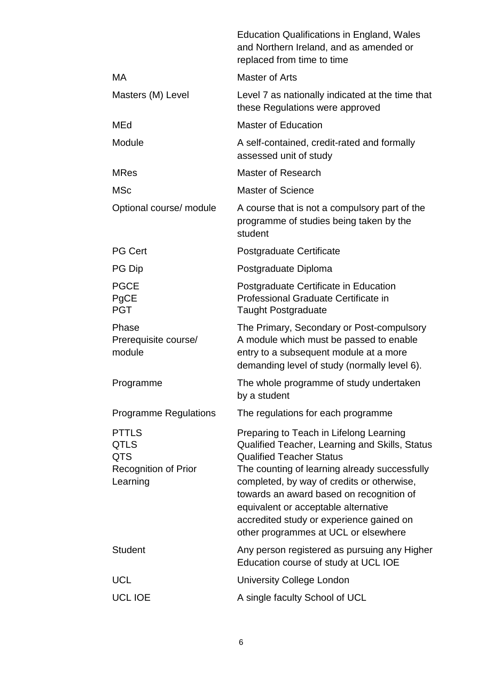|                                                                        | <b>Education Qualifications in England, Wales</b><br>and Northern Ireland, and as amended or<br>replaced from time to time                                                                                                                                                                                                                                                                          |
|------------------------------------------------------------------------|-----------------------------------------------------------------------------------------------------------------------------------------------------------------------------------------------------------------------------------------------------------------------------------------------------------------------------------------------------------------------------------------------------|
| MA                                                                     | Master of Arts                                                                                                                                                                                                                                                                                                                                                                                      |
| Masters (M) Level                                                      | Level 7 as nationally indicated at the time that<br>these Regulations were approved                                                                                                                                                                                                                                                                                                                 |
| MEd                                                                    | <b>Master of Education</b>                                                                                                                                                                                                                                                                                                                                                                          |
| Module                                                                 | A self-contained, credit-rated and formally<br>assessed unit of study                                                                                                                                                                                                                                                                                                                               |
| <b>MRes</b>                                                            | Master of Research                                                                                                                                                                                                                                                                                                                                                                                  |
| <b>MSc</b>                                                             | Master of Science                                                                                                                                                                                                                                                                                                                                                                                   |
| Optional course/ module                                                | A course that is not a compulsory part of the<br>programme of studies being taken by the<br>student                                                                                                                                                                                                                                                                                                 |
| <b>PG Cert</b>                                                         | Postgraduate Certificate                                                                                                                                                                                                                                                                                                                                                                            |
| PG Dip                                                                 | Postgraduate Diploma                                                                                                                                                                                                                                                                                                                                                                                |
| <b>PGCE</b><br>PgCE<br><b>PGT</b>                                      | Postgraduate Certificate in Education<br>Professional Graduate Certificate in<br><b>Taught Postgraduate</b>                                                                                                                                                                                                                                                                                         |
| Phase<br>Prerequisite course/<br>module                                | The Primary, Secondary or Post-compulsory<br>A module which must be passed to enable<br>entry to a subsequent module at a more<br>demanding level of study (normally level 6).                                                                                                                                                                                                                      |
| Programme                                                              | The whole programme of study undertaken<br>by a student                                                                                                                                                                                                                                                                                                                                             |
| <b>Programme Regulations</b>                                           | The regulations for each programme                                                                                                                                                                                                                                                                                                                                                                  |
| <b>PTTLS</b><br>QTLS<br>QTS<br><b>Recognition of Prior</b><br>Learning | Preparing to Teach in Lifelong Learning<br>Qualified Teacher, Learning and Skills, Status<br><b>Qualified Teacher Status</b><br>The counting of learning already successfully<br>completed, by way of credits or otherwise,<br>towards an award based on recognition of<br>equivalent or acceptable alternative<br>accredited study or experience gained on<br>other programmes at UCL or elsewhere |
| <b>Student</b>                                                         | Any person registered as pursuing any Higher<br>Education course of study at UCL IOE                                                                                                                                                                                                                                                                                                                |
| <b>UCL</b>                                                             | <b>University College London</b>                                                                                                                                                                                                                                                                                                                                                                    |
| <b>UCL IOE</b>                                                         |                                                                                                                                                                                                                                                                                                                                                                                                     |